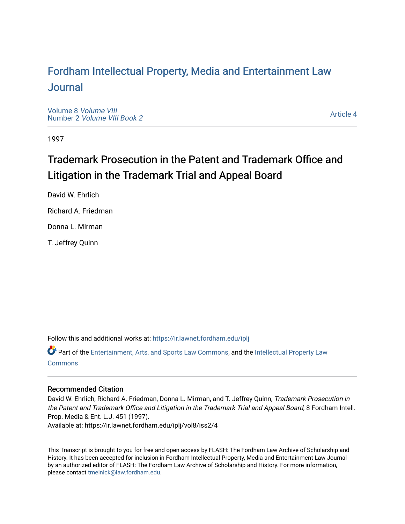# For[dham Intellectual Property, Media and Enter](https://ir.lawnet.fordham.edu/iplj)tainment Law [Journal](https://ir.lawnet.fordham.edu/iplj)

[Volume 8](https://ir.lawnet.fordham.edu/iplj/vol8) Volume VIII Number 2 [Volume VIII Book 2](https://ir.lawnet.fordham.edu/iplj/vol8/iss2)

[Article 4](https://ir.lawnet.fordham.edu/iplj/vol8/iss2/4) 

1997

# Trademark Prosecution in the Patent and Trademark Office and Litigation in the Trademark Trial and Appeal Board

David W. Ehrlich

Richard A. Friedman

Donna L. Mirman

T. Jeffrey Quinn

Follow this and additional works at: [https://ir.lawnet.fordham.edu/iplj](https://ir.lawnet.fordham.edu/iplj?utm_source=ir.lawnet.fordham.edu%2Fiplj%2Fvol8%2Fiss2%2F4&utm_medium=PDF&utm_campaign=PDFCoverPages) 

Part of the [Entertainment, Arts, and Sports Law Commons](http://network.bepress.com/hgg/discipline/893?utm_source=ir.lawnet.fordham.edu%2Fiplj%2Fvol8%2Fiss2%2F4&utm_medium=PDF&utm_campaign=PDFCoverPages), and the [Intellectual Property Law](http://network.bepress.com/hgg/discipline/896?utm_source=ir.lawnet.fordham.edu%2Fiplj%2Fvol8%2Fiss2%2F4&utm_medium=PDF&utm_campaign=PDFCoverPages) [Commons](http://network.bepress.com/hgg/discipline/896?utm_source=ir.lawnet.fordham.edu%2Fiplj%2Fvol8%2Fiss2%2F4&utm_medium=PDF&utm_campaign=PDFCoverPages)

# Recommended Citation

David W. Ehrlich, Richard A. Friedman, Donna L. Mirman, and T. Jeffrey Quinn, Trademark Prosecution in the Patent and Trademark Office and Litigation in the Trademark Trial and Appeal Board, 8 Fordham Intell. Prop. Media & Ent. L.J. 451 (1997). Available at: https://ir.lawnet.fordham.edu/iplj/vol8/iss2/4

This Transcript is brought to you for free and open access by FLASH: The Fordham Law Archive of Scholarship and History. It has been accepted for inclusion in Fordham Intellectual Property, Media and Entertainment Law Journal by an authorized editor of FLASH: The Fordham Law Archive of Scholarship and History. For more information, please contact [tmelnick@law.fordham.edu](mailto:tmelnick@law.fordham.edu).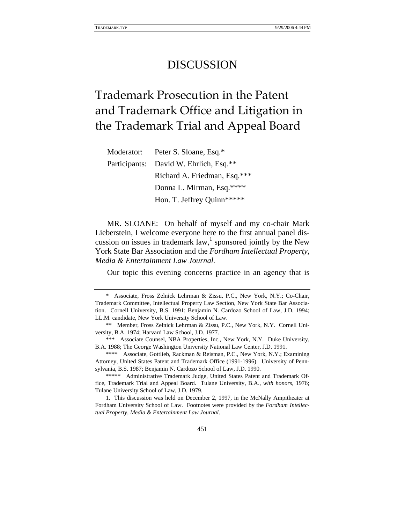# DISCUSSION

# Trademark Prosecution in the Patent and Trademark Office and Litigation in the Trademark Trial and Appeal Board

| Peter S. Sloane, Esq.*<br>Moderator:   |
|----------------------------------------|
| Participants: David W. Ehrlich, Esq.** |
| Richard A. Friedman, Esq.***           |
| Donna L. Mirman, Esq.****              |
| Hon. T. Jeffrey Quinn*****             |
|                                        |

MR. SLOANE: On behalf of myself and my co-chair Mark Lieberstein, I welcome everyone here to the first annual panel discussion on issues in trademark  $law$ , sponsored jointly by the New York State Bar Association and the *Fordham Intellectual Property, Media & Entertainment Law Journal.*

Our topic this evening concerns practice in an agency that is

<sup>\*</sup> Associate, Fross Zelnick Lehrman & Zissu, P.C., New York, N.Y.; Co-Chair, Trademark Committee, Intellectual Property Law Section, New York State Bar Association. Cornell University, B.S. 1991; Benjamin N. Cardozo School of Law, J.D. 1994; LL.M. candidate, New York University School of Law.

<sup>\*\*</sup> Member, Fross Zelnick Lehrman & Zissu, P.C., New York, N.Y. Cornell University, B.A. 1974; Harvard Law School, J.D. 1977.

<sup>\*\*\*</sup> Associate Counsel, NBA Properties, Inc., New York, N.Y. Duke University, B.A. 1988; The George Washington University National Law Center, J.D. 1991.

<sup>\*\*\*\*</sup> Associate, Gottlieb, Rackman & Reisman, P.C., New York, N.Y.; Examining Attorney, United States Patent and Trademark Office (1991-1996). University of Pennsylvania, B.S. 1987; Benjamin N. Cardozo School of Law, J.D. 1990.

<sup>\*\*\*\*\*</sup> Administrative Trademark Judge, United States Patent and Trademark Office, Trademark Trial and Appeal Board. Tulane University, B.A., *with honors*, 1976; Tulane University School of Law, J.D. 1979.

<sup>1.</sup> This discussion was held on December 2, 1997, in the McNally Ampitheater at Fordham University School of Law. Footnotes were provided by the *Fordham Intellectual Property, Media & Entertainment Law Journal*.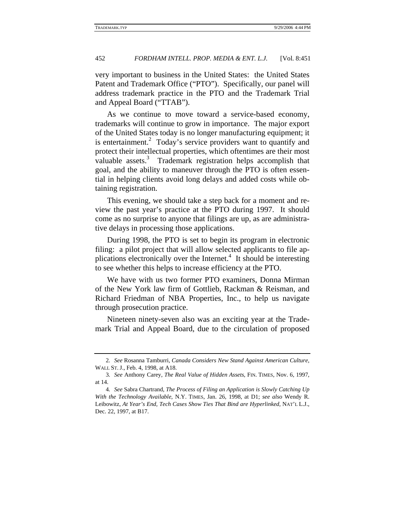very important to business in the United States: the United States Patent and Trademark Office ("PTO"). Specifically, our panel will address trademark practice in the PTO and the Trademark Trial and Appeal Board ("TTAB").

As we continue to move toward a service-based economy, trademarks will continue to grow in importance. The major export of the United States today is no longer manufacturing equipment; it is entertainment.<sup>2</sup> Today's service providers want to quantify and protect their intellectual properties, which oftentimes are their most valuable assets.<sup>3</sup> Trademark registration helps accomplish that goal, and the ability to maneuver through the PTO is often essential in helping clients avoid long delays and added costs while obtaining registration.

This evening, we should take a step back for a moment and review the past year's practice at the PTO during 1997. It should come as no surprise to anyone that filings are up, as are administrative delays in processing those applications.

During 1998, the PTO is set to begin its program in electronic filing: a pilot project that will allow selected applicants to file applications electronically over the Internet.<sup>4</sup> It should be interesting to see whether this helps to increase efficiency at the PTO.

We have with us two former PTO examiners, Donna Mirman of the New York law firm of Gottlieb, Rackman & Reisman, and Richard Friedman of NBA Properties, Inc., to help us navigate through prosecution practice.

Nineteen ninety-seven also was an exciting year at the Trademark Trial and Appeal Board, due to the circulation of proposed

<sup>2</sup>*. See* Rosanna Tamburri, *Canada Considers New Stand Against American Culture*, WALL ST. J., Feb. 4, 1998, at A18.

<sup>3</sup>*. See* Anthony Carey, *The Real Value of Hidden Assets*, FIN. TIMES, Nov. 6, 1997, at 14.

<sup>4</sup>*. See* Sabra Chartrand, *The Process of Filing an Application is Slowly Catching Up With the Technology Available*, N.Y. TIMES, Jan. 26, 1998, at D1; *see also* Wendy R. Leibowitz, *At Year's End, Tech Cases Show Ties That Bind are Hyperlinked*, NAT'L L.J., Dec. 22, 1997, at B17.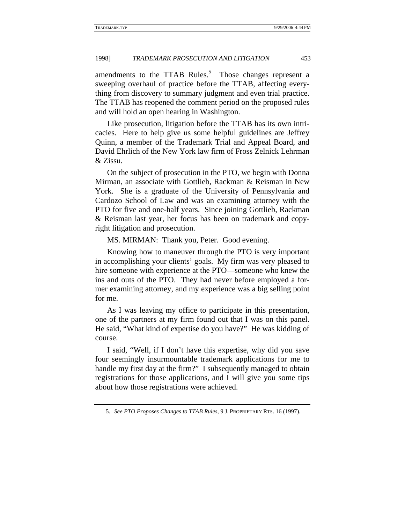amendments to the TTAB Rules.<sup>5</sup> Those changes represent a sweeping overhaul of practice before the TTAB, affecting everything from discovery to summary judgment and even trial practice. The TTAB has reopened the comment period on the proposed rules and will hold an open hearing in Washington.

Like prosecution, litigation before the TTAB has its own intricacies. Here to help give us some helpful guidelines are Jeffrey Quinn, a member of the Trademark Trial and Appeal Board, and David Ehrlich of the New York law firm of Fross Zelnick Lehrman & Zissu.

On the subject of prosecution in the PTO, we begin with Donna Mirman, an associate with Gottlieb, Rackman & Reisman in New York. She is a graduate of the University of Pennsylvania and Cardozo School of Law and was an examining attorney with the PTO for five and one-half years. Since joining Gottlieb, Rackman & Reisman last year, her focus has been on trademark and copyright litigation and prosecution.

MS. MIRMAN: Thank you, Peter. Good evening.

Knowing how to maneuver through the PTO is very important in accomplishing your clients' goals. My firm was very pleased to hire someone with experience at the PTO—someone who knew the ins and outs of the PTO. They had never before employed a former examining attorney, and my experience was a big selling point for me.

As I was leaving my office to participate in this presentation, one of the partners at my firm found out that I was on this panel. He said, "What kind of expertise do you have?" He was kidding of course.

I said, "Well, if I don't have this expertise, why did you save four seemingly insurmountable trademark applications for me to handle my first day at the firm?" I subsequently managed to obtain registrations for those applications, and I will give you some tips about how those registrations were achieved.

<sup>5</sup>*. See PTO Proposes Changes to TTAB Rules*, 9 J. PROPRIETARY RTS. 16 (1997).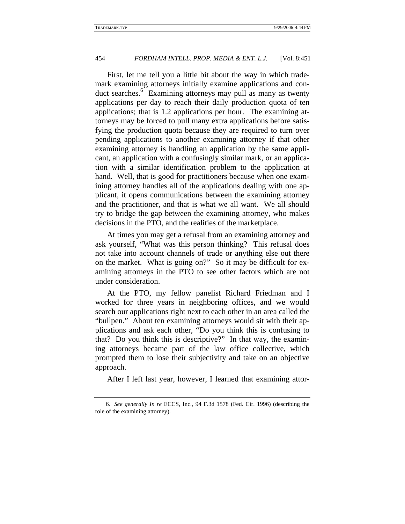First, let me tell you a little bit about the way in which trademark examining attorneys initially examine applications and conduct searches.<sup>6</sup> Examining attorneys may pull as many as twenty applications per day to reach their daily production quota of ten applications; that is 1.2 applications per hour. The examining attorneys may be forced to pull many extra applications before satisfying the production quota because they are required to turn over pending applications to another examining attorney if that other examining attorney is handling an application by the same applicant, an application with a confusingly similar mark, or an application with a similar identification problem to the application at hand. Well, that is good for practitioners because when one examining attorney handles all of the applications dealing with one applicant, it opens communications between the examining attorney and the practitioner, and that is what we all want. We all should try to bridge the gap between the examining attorney, who makes decisions in the PTO, and the realities of the marketplace.

At times you may get a refusal from an examining attorney and ask yourself, "What was this person thinking? This refusal does not take into account channels of trade or anything else out there on the market. What is going on?" So it may be difficult for examining attorneys in the PTO to see other factors which are not under consideration.

At the PTO, my fellow panelist Richard Friedman and I worked for three years in neighboring offices, and we would search our applications right next to each other in an area called the "bullpen." About ten examining attorneys would sit with their applications and ask each other, "Do you think this is confusing to that? Do you think this is descriptive?" In that way, the examining attorneys became part of the law office collective, which prompted them to lose their subjectivity and take on an objective approach.

After I left last year, however, I learned that examining attor-

<sup>6</sup>*. See generally In re* ECCS, Inc., 94 F.3d 1578 (Fed. Cir. 1996) (describing the role of the examining attorney).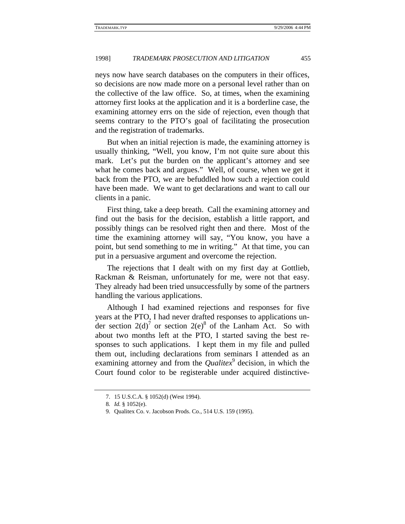neys now have search databases on the computers in their offices, so decisions are now made more on a personal level rather than on the collective of the law office. So, at times, when the examining attorney first looks at the application and it is a borderline case, the examining attorney errs on the side of rejection, even though that seems contrary to the PTO's goal of facilitating the prosecution and the registration of trademarks.

But when an initial rejection is made, the examining attorney is usually thinking, "Well, you know, I'm not quite sure about this mark. Let's put the burden on the applicant's attorney and see what he comes back and argues." Well, of course, when we get it back from the PTO, we are befuddled how such a rejection could have been made. We want to get declarations and want to call our clients in a panic.

First thing, take a deep breath. Call the examining attorney and find out the basis for the decision, establish a little rapport, and possibly things can be resolved right then and there. Most of the time the examining attorney will say, "You know, you have a point, but send something to me in writing." At that time, you can put in a persuasive argument and overcome the rejection.

The rejections that I dealt with on my first day at Gottlieb, Rackman & Reisman, unfortunately for me, were not that easy. They already had been tried unsuccessfully by some of the partners handling the various applications.

Although I had examined rejections and responses for five years at the PTO, I had never drafted responses to applications under section  $2(d)$ <sup>7</sup> or section  $2(e)^8$  of the Lanham Act. So with about two months left at the PTO, I started saving the best responses to such applications. I kept them in my file and pulled them out, including declarations from seminars I attended as an examining attorney and from the *Qualitex*<sup>9</sup> decision, in which the Court found color to be registerable under acquired distinctive-

<sup>7. 15</sup> U.S.C.A. § 1052(d) (West 1994).

<sup>8</sup>*. Id.* § 1052(e).

<sup>9.</sup> Qualitex Co. v. Jacobson Prods. Co., 514 U.S. 159 (1995).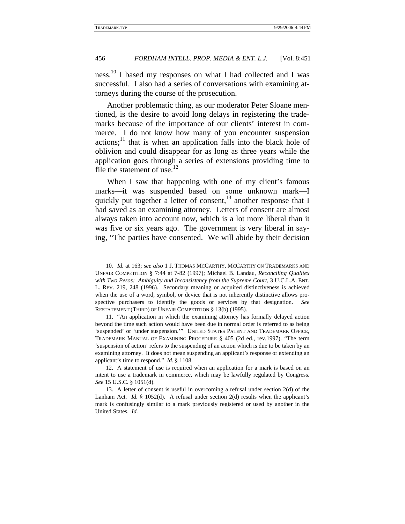ness.10 I based my responses on what I had collected and I was successful. I also had a series of conversations with examining attorneys during the course of the prosecution.

Another problematic thing, as our moderator Peter Sloane mentioned, is the desire to avoid long delays in registering the trademarks because of the importance of our clients' interest in commerce. I do not know how many of you encounter suspension  $\arctan x$ <sup>11</sup> that is when an application falls into the black hole of oblivion and could disappear for as long as three years while the application goes through a series of extensions providing time to file the statement of use. $^{12}$ 

When I saw that happening with one of my client's famous marks—it was suspended based on some unknown mark—I quickly put together a letter of consent, $^{13}$  another response that I had saved as an examining attorney. Letters of consent are almost always taken into account now, which is a lot more liberal than it was five or six years ago. The government is very liberal in saying, "The parties have consented. We will abide by their decision

<sup>10</sup>*. Id.* at 163; *see also* 1 J. THOMAS MCCARTHY, MCCARTHY ON TRADEMARKS AND UNFAIR COMPETITION § 7:44 at 7-82 (1997); Michael B. Landau, *Reconciling Qualitex with Two Pesos: Ambiguity and Inconsistency from the Supreme Court*, 3 U.C.L.A. ENT. L. REV. 219, 248 (1996). Secondary meaning or acquired distinctiveness is achieved when the use of a word, symbol, or device that is not inherently distinctive allows prospective purchasers to identify the goods or services by that designation. *See* RESTATEMENT (THIRD) OF UNFAIR COMPETITION § 13(b) (1995).

<sup>11. &</sup>quot;An application in which the examining attorney has formally delayed action beyond the time such action would have been due in normal order is referred to as being 'suspended' or 'under suspension.'" UNITED STATES PATENT AND TRADEMARK OFFICE, TRADEMARK MANUAL OF EXAMINING PROCEDURE § 405 (2d ed., rev.1997). "The term 'suspension of action' refers to the suspending of an action which is due to be taken by an examining attorney. It does not mean suspending an applicant's response or extending an applicant's time to respond." *Id.* § 1108.

<sup>12.</sup> A statement of use is required when an application for a mark is based on an intent to use a trademark in commerce, which may be lawfully regulated by Congress. *See* 15 U.S.C. § 1051(d).

<sup>13.</sup> A letter of consent is useful in overcoming a refusal under section 2(d) of the Lanham Act. *Id.* § 1052(d). A refusal under section 2(d) results when the applicant's mark is confusingly similar to a mark previously registered or used by another in the United States. *Id.*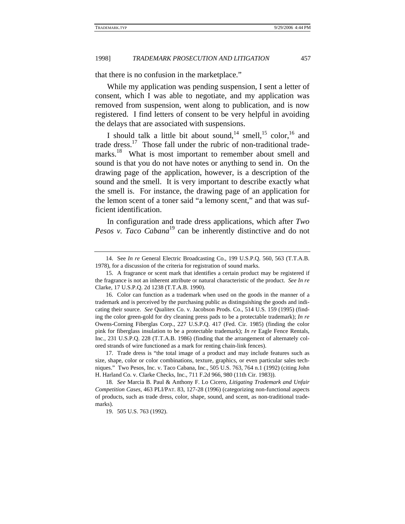that there is no confusion in the marketplace."

While my application was pending suspension, I sent a letter of consent, which I was able to negotiate, and my application was removed from suspension, went along to publication, and is now registered. I find letters of consent to be very helpful in avoiding the delays that are associated with suspensions.

I should talk a little bit about sound,<sup>14</sup> smell,<sup>15</sup> color,<sup>16</sup> and trade dress.<sup>17</sup> Those fall under the rubric of non-traditional trademarks.<sup>18</sup> What is most important to remember about smell and sound is that you do not have notes or anything to send in. On the drawing page of the application, however, is a description of the sound and the smell. It is very important to describe exactly what the smell is. For instance, the drawing page of an application for the lemon scent of a toner said "a lemony scent," and that was sufficient identification.

In configuration and trade dress applications, which after *Two Pesos v. Taco Cabana*<sup>19</sup> can be inherently distinctive and do not

<sup>14.</sup> See *In re* General Electric Broadcasting Co., 199 U.S.P.Q. 560, 563 (T.T.A.B. 1978), for a discussion of the criteria for registration of sound marks.

<sup>15.</sup> A fragrance or scent mark that identifies a certain product may be registered if the fragrance is not an inherent attribute or natural characteristic of the product. *See In re* Clarke, 17 U.S.P.Q. 2d 1238 (T.T.A.B. 1990).

<sup>16.</sup> Color can function as a trademark when used on the goods in the manner of a trademark and is perceived by the purchasing public as distinguishing the goods and indicating their source. *See* Qualitex Co. v. Jacobson Prods. Co., 514 U.S. 159 (1995) (finding the color green-gold for dry cleaning press pads to be a protectable trademark); *In re* Owens-Corning Fiberglas Corp., 227 U.S.P.Q. 417 (Fed. Cir. 1985) (finding the color pink for fiberglass insulation to be a protectable trademark); *In re* Eagle Fence Rentals, Inc., 231 U.S.P.Q. 228 (T.T.A.B. 1986) (finding that the arrangement of alternately colored strands of wire functioned as a mark for renting chain-link fences).

<sup>17.</sup> Trade dress is "the total image of a product and may include features such as size, shape, color or color combinations, texture, graphics, or even particular sales techniques." Two Pesos, Inc. v. Taco Cabana, Inc., 505 U.S. 763, 764 n.1 (1992) (citing John H. Harland Co. v. Clarke Checks, Inc., 711 F.2d 966, 980 (11th Cir. 1983)).

<sup>18</sup>*. See* Marcia B. Paul & Anthony F. Lo Cicero, *Litigating Trademark and Unfair Competition Cases*, 463 PLI/PAT. 83, 127-28 (1996) (categorizing non-functional aspects of products, such as trade dress, color, shape, sound, and scent, as non-traditional trademarks).

<sup>19. 505</sup> U.S. 763 (1992).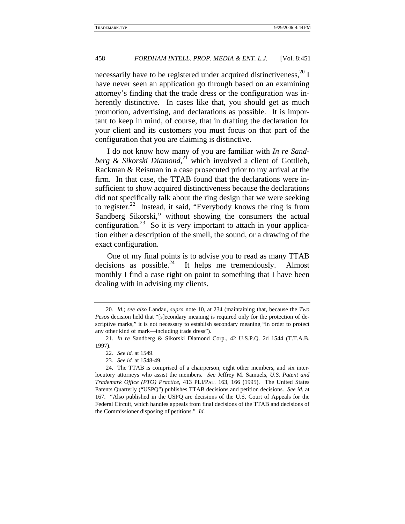necessarily have to be registered under acquired distinctiveness, $20 I$ have never seen an application go through based on an examining attorney's finding that the trade dress or the configuration was inherently distinctive. In cases like that, you should get as much promotion, advertising, and declarations as possible. It is important to keep in mind, of course, that in drafting the declaration for your client and its customers you must focus on that part of the configuration that you are claiming is distinctive.

I do not know how many of you are familiar with *In re Sandberg & Sikorski Diamond*, 21 which involved a client of Gottlieb, Rackman & Reisman in a case prosecuted prior to my arrival at the firm. In that case, the TTAB found that the declarations were insufficient to show acquired distinctiveness because the declarations did not specifically talk about the ring design that we were seeking to register. $22$  Instead, it said, "Everybody knows the ring is from Sandberg Sikorski," without showing the consumers the actual configuration.<sup>23</sup> So it is very important to attach in your application either a description of the smell, the sound, or a drawing of the exact configuration.

One of my final points is to advise you to read as many TTAB decisions as possible. $24$  It helps me tremendously. Almost monthly I find a case right on point to something that I have been dealing with in advising my clients.

23*. See id.* at 1548-49.

<sup>20</sup>*. Id.*; *see also* Landau, *supra* note 10, at 234 (maintaining that, because the *Two Pesos* decision held that "[s]econdary meaning is required only for the protection of descriptive marks," it is not necessary to establish secondary meaning "in order to protect any other kind of mark—including trade dress").

<sup>21</sup>*. In re* Sandberg & Sikorski Diamond Corp., 42 U.S.P.Q. 2d 1544 (T.T.A.B. 1997).

<sup>22</sup>*. See id.* at 1549.

<sup>24.</sup> The TTAB is comprised of a chairperson, eight other members, and six interlocutory attorneys who assist the members. *See* Jeffrey M. Samuels, *U.S. Patent and Trademark Office (PTO) Practice*, 413 PLI/PAT. 163, 166 (1995). The United States Patents Quarterly ("USPQ") publishes TTAB decisions and petition decisions. *See id.* at 167. "Also published in the USPQ are decisions of the U.S. Court of Appeals for the Federal Circuit, which handles appeals from final decisions of the TTAB and decisions of the Commissioner disposing of petitions." *Id.*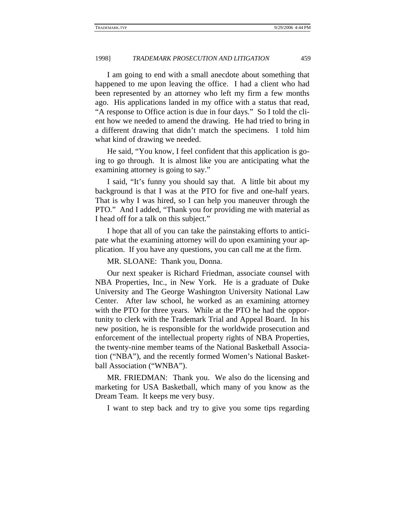I am going to end with a small anecdote about something that happened to me upon leaving the office. I had a client who had been represented by an attorney who left my firm a few months ago. His applications landed in my office with a status that read, "A response to Office action is due in four days." So I told the client how we needed to amend the drawing. He had tried to bring in a different drawing that didn't match the specimens. I told him what kind of drawing we needed.

He said, "You know, I feel confident that this application is going to go through. It is almost like you are anticipating what the examining attorney is going to say."

I said, "It's funny you should say that. A little bit about my background is that I was at the PTO for five and one-half years. That is why I was hired, so I can help you maneuver through the PTO." And I added, "Thank you for providing me with material as I head off for a talk on this subject."

I hope that all of you can take the painstaking efforts to anticipate what the examining attorney will do upon examining your application. If you have any questions, you can call me at the firm.

MR. SLOANE: Thank you, Donna.

Our next speaker is Richard Friedman, associate counsel with NBA Properties, Inc., in New York. He is a graduate of Duke University and The George Washington University National Law Center. After law school, he worked as an examining attorney with the PTO for three years. While at the PTO he had the opportunity to clerk with the Trademark Trial and Appeal Board. In his new position, he is responsible for the worldwide prosecution and enforcement of the intellectual property rights of NBA Properties, the twenty-nine member teams of the National Basketball Association ("NBA"), and the recently formed Women's National Basketball Association ("WNBA").

MR. FRIEDMAN: Thank you. We also do the licensing and marketing for USA Basketball, which many of you know as the Dream Team. It keeps me very busy.

I want to step back and try to give you some tips regarding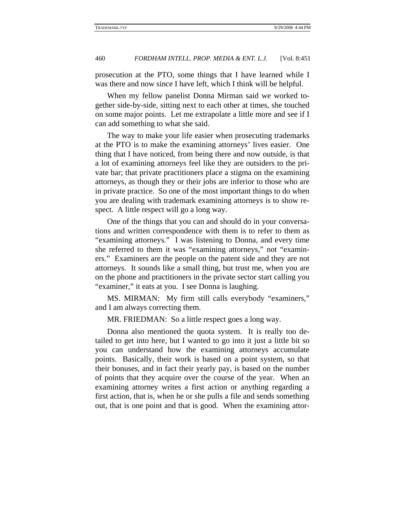prosecution at the PTO, some things that I have learned while I was there and now since I have left, which I think will be helpful.

When my fellow panelist Donna Mirman said we worked together side-by-side, sitting next to each other at times, she touched on some major points. Let me extrapolate a little more and see if I can add something to what she said.

The way to make your life easier when prosecuting trademarks at the PTO is to make the examining attorneys' lives easier. One thing that I have noticed, from being there and now outside, is that a lot of examining attorneys feel like they are outsiders to the private bar; that private practitioners place a stigma on the examining attorneys, as though they or their jobs are inferior to those who are in private practice. So one of the most important things to do when you are dealing with trademark examining attorneys is to show respect. A little respect will go a long way.

One of the things that you can and should do in your conversations and written correspondence with them is to refer to them as "examining attorneys." I was listening to Donna, and every time she referred to them it was "examining attorneys," not "examiners." Examiners are the people on the patent side and they are not attorneys. It sounds like a small thing, but trust me, when you are on the phone and practitioners in the private sector start calling you "examiner," it eats at you. I see Donna is laughing.

MS. MIRMAN: My firm still calls everybody "examiners," and I am always correcting them.

MR. FRIEDMAN: So a little respect goes a long way.

Donna also mentioned the quota system. It is really too detailed to get into here, but I wanted to go into it just a little bit so you can understand how the examining attorneys accumulate points. Basically, their work is based on a point system, so that their bonuses, and in fact their yearly pay, is based on the number of points that they acquire over the course of the year. When an examining attorney writes a first action or anything regarding a first action, that is, when he or she pulls a file and sends something out, that is one point and that is good. When the examining attor-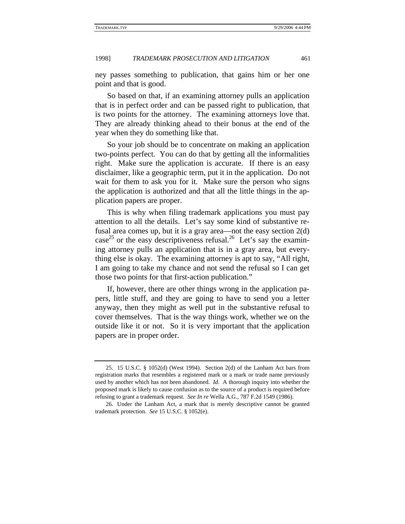ney passes something to publication, that gains him or her one point and that is good.

So based on that, if an examining attorney pulls an application that is in perfect order and can be passed right to publication, that is two points for the attorney. The examining attorneys love that. They are already thinking ahead to their bonus at the end of the year when they do something like that.

So your job should be to concentrate on making an application two-points perfect. You can do that by getting all the informalities right. Make sure the application is accurate. If there is an easy disclaimer, like a geographic term, put it in the application. Do not wait for them to ask you for it. Make sure the person who signs the application is authorized and that all the little things in the application papers are proper.

This is why when filing trademark applications you must pay attention to all the details. Let's say some kind of substantive refusal area comes up, but it is a gray area—not the easy section 2(d) case<sup>25</sup> or the easy descriptiveness refusal.<sup>26</sup> Let's say the examining attorney pulls an application that is in a gray area, but everything else is okay. The examining attorney is apt to say, "All right, I am going to take my chance and not send the refusal so I can get those two points for that first-action publication."

If, however, there are other things wrong in the application papers, little stuff, and they are going to have to send you a letter anyway, then they might as well put in the substantive refusal to cover themselves. That is the way things work, whether we on the outside like it or not. So it is very important that the application papers are in proper order.

<sup>25. 15</sup> U.S.C. § 1052(d) (West 1994). Section 2(d) of the Lanham Act bars from registration marks that resembles a registered mark or a mark or trade name previously used by another which has not been abandoned. *Id.* A thorough inquiry into whether the proposed mark is likely to cause confusion as to the source of a product is required before refusing to grant a trademark request. *See In re* Wella A.G., 787 F.2d 1549 (1986).

<sup>26.</sup> Under the Lanham Act, a mark that is merely descriptive cannot be granted trademark protection. *See* 15 U.S.C. § 1052(e).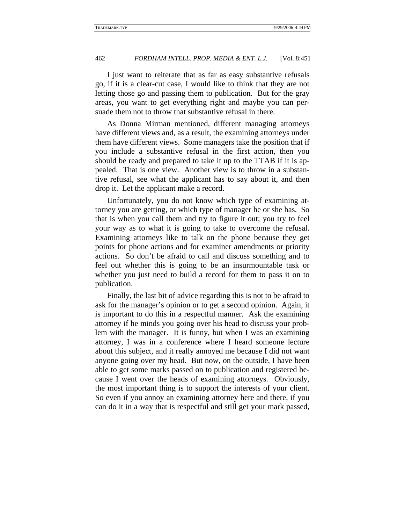I just want to reiterate that as far as easy substantive refusals go, if it is a clear-cut case, I would like to think that they are not letting those go and passing them to publication. But for the gray areas, you want to get everything right and maybe you can persuade them not to throw that substantive refusal in there.

As Donna Mirman mentioned, different managing attorneys have different views and, as a result, the examining attorneys under them have different views. Some managers take the position that if you include a substantive refusal in the first action, then you should be ready and prepared to take it up to the TTAB if it is appealed. That is one view. Another view is to throw in a substantive refusal, see what the applicant has to say about it, and then drop it. Let the applicant make a record.

Unfortunately, you do not know which type of examining attorney you are getting, or which type of manager he or she has. So that is when you call them and try to figure it out; you try to feel your way as to what it is going to take to overcome the refusal. Examining attorneys like to talk on the phone because they get points for phone actions and for examiner amendments or priority actions. So don't be afraid to call and discuss something and to feel out whether this is going to be an insurmountable task or whether you just need to build a record for them to pass it on to publication.

Finally, the last bit of advice regarding this is not to be afraid to ask for the manager's opinion or to get a second opinion. Again, it is important to do this in a respectful manner. Ask the examining attorney if he minds you going over his head to discuss your problem with the manager. It is funny, but when I was an examining attorney, I was in a conference where I heard someone lecture about this subject, and it really annoyed me because I did not want anyone going over my head. But now, on the outside, I have been able to get some marks passed on to publication and registered because I went over the heads of examining attorneys. Obviously, the most important thing is to support the interests of your client. So even if you annoy an examining attorney here and there, if you can do it in a way that is respectful and still get your mark passed,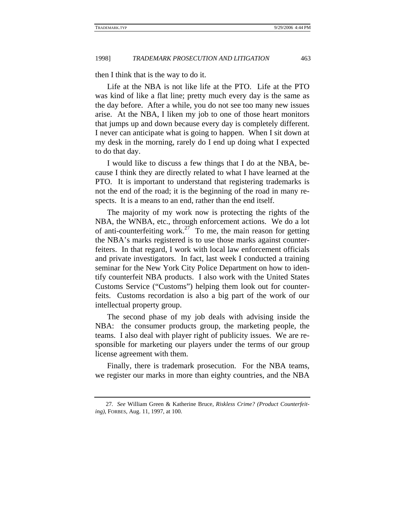then I think that is the way to do it.

Life at the NBA is not like life at the PTO. Life at the PTO was kind of like a flat line; pretty much every day is the same as the day before. After a while, you do not see too many new issues arise. At the NBA, I liken my job to one of those heart monitors that jumps up and down because every day is completely different. I never can anticipate what is going to happen. When I sit down at my desk in the morning, rarely do I end up doing what I expected to do that day.

I would like to discuss a few things that I do at the NBA, because I think they are directly related to what I have learned at the PTO. It is important to understand that registering trademarks is not the end of the road; it is the beginning of the road in many respects. It is a means to an end, rather than the end itself.

The majority of my work now is protecting the rights of the NBA, the WNBA, etc., through enforcement actions. We do a lot of anti-counterfeiting work.<sup>27</sup> To me, the main reason for getting the NBA's marks registered is to use those marks against counterfeiters. In that regard, I work with local law enforcement officials and private investigators. In fact, last week I conducted a training seminar for the New York City Police Department on how to identify counterfeit NBA products. I also work with the United States Customs Service ("Customs") helping them look out for counterfeits. Customs recordation is also a big part of the work of our intellectual property group.

The second phase of my job deals with advising inside the NBA: the consumer products group, the marketing people, the teams. I also deal with player right of publicity issues. We are responsible for marketing our players under the terms of our group license agreement with them.

Finally, there is trademark prosecution. For the NBA teams, we register our marks in more than eighty countries, and the NBA

<sup>27</sup>*. See* William Green & Katherine Bruce, *Riskless Crime? (Product Counterfeiting)*, FORBES, Aug. 11, 1997, at 100.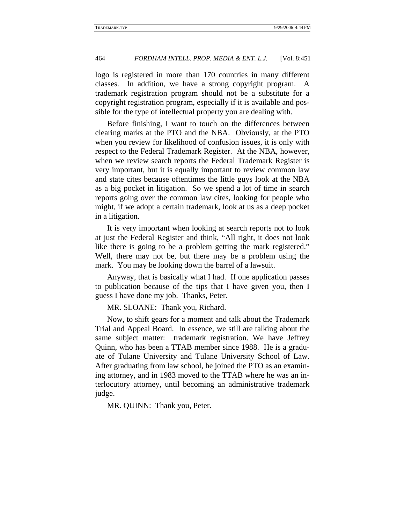logo is registered in more than 170 countries in many different classes. In addition, we have a strong copyright program. A trademark registration program should not be a substitute for a copyright registration program, especially if it is available and possible for the type of intellectual property you are dealing with.

Before finishing, I want to touch on the differences between clearing marks at the PTO and the NBA. Obviously, at the PTO when you review for likelihood of confusion issues, it is only with respect to the Federal Trademark Register. At the NBA, however, when we review search reports the Federal Trademark Register is very important, but it is equally important to review common law and state cites because oftentimes the little guys look at the NBA as a big pocket in litigation. So we spend a lot of time in search reports going over the common law cites, looking for people who might, if we adopt a certain trademark, look at us as a deep pocket in a litigation.

It is very important when looking at search reports not to look at just the Federal Register and think, "All right, it does not look like there is going to be a problem getting the mark registered." Well, there may not be, but there may be a problem using the mark. You may be looking down the barrel of a lawsuit.

Anyway, that is basically what I had. If one application passes to publication because of the tips that I have given you, then I guess I have done my job. Thanks, Peter.

MR. SLOANE: Thank you, Richard.

Now, to shift gears for a moment and talk about the Trademark Trial and Appeal Board. In essence, we still are talking about the same subject matter: trademark registration. We have Jeffrey Quinn, who has been a TTAB member since 1988. He is a graduate of Tulane University and Tulane University School of Law. After graduating from law school, he joined the PTO as an examining attorney, and in 1983 moved to the TTAB where he was an interlocutory attorney, until becoming an administrative trademark judge.

MR. QUINN: Thank you, Peter.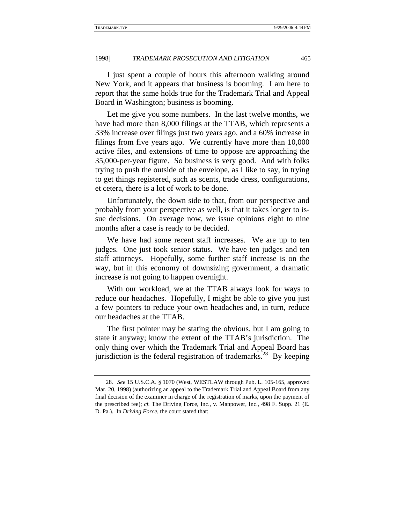I just spent a couple of hours this afternoon walking around New York, and it appears that business is booming. I am here to report that the same holds true for the Trademark Trial and Appeal Board in Washington; business is booming.

Let me give you some numbers. In the last twelve months, we have had more than 8,000 filings at the TTAB, which represents a 33% increase over filings just two years ago, and a 60% increase in filings from five years ago. We currently have more than 10,000 active files, and extensions of time to oppose are approaching the 35,000-per-year figure. So business is very good. And with folks trying to push the outside of the envelope, as I like to say, in trying to get things registered, such as scents, trade dress, configurations, et cetera, there is a lot of work to be done.

Unfortunately, the down side to that, from our perspective and probably from your perspective as well, is that it takes longer to issue decisions. On average now, we issue opinions eight to nine months after a case is ready to be decided.

We have had some recent staff increases. We are up to ten judges. One just took senior status. We have ten judges and ten staff attorneys. Hopefully, some further staff increase is on the way, but in this economy of downsizing government, a dramatic increase is not going to happen overnight.

With our workload, we at the TTAB always look for ways to reduce our headaches. Hopefully, I might be able to give you just a few pointers to reduce your own headaches and, in turn, reduce our headaches at the TTAB.

The first pointer may be stating the obvious, but I am going to state it anyway; know the extent of the TTAB's jurisdiction. The only thing over which the Trademark Trial and Appeal Board has jurisdiction is the federal registration of trademarks.<sup>28</sup> By keeping

<sup>28</sup>*. See* 15 U.S.C.A. § 1070 (West, WESTLAW through Pub. L. 105-165, approved Mar. 20, 1998) (authorizing an appeal to the Trademark Trial and Appeal Board from any final decision of the examiner in charge of the registration of marks, upon the payment of the prescribed fee); *cf.* The Driving Force, Inc., v. Manpower, Inc., 498 F. Supp. 21 (E. D. Pa.). In *Driving Force*, the court stated that: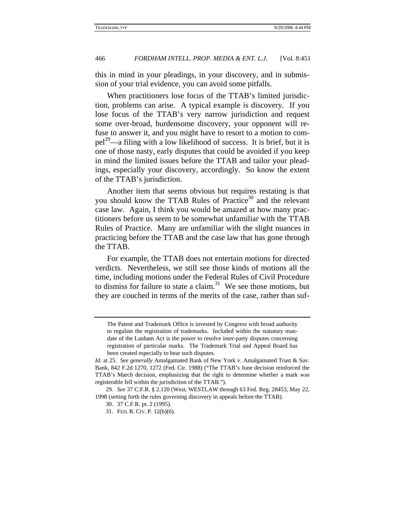this in mind in your pleadings, in your discovery, and in submission of your trial evidence, you can avoid some pitfalls.

When practitioners lose focus of the TTAB's limited jurisdiction, problems can arise. A typical example is discovery. If you lose focus of the TTAB's very narrow jurisdiction and request some over-broad, burdensome discovery, your opponent will refuse to answer it, and you might have to resort to a motion to com $pel<sup>29</sup>$ —a filing with a low likelihood of success. It is brief, but it is one of those nasty, early disputes that could be avoided if you keep in mind the limited issues before the TTAB and tailor your pleadings, especially your discovery, accordingly. So know the extent of the TTAB's jurisdiction.

Another item that seems obvious but requires restating is that you should know the TTAB Rules of Practice<sup>30</sup> and the relevant case law. Again, I think you would be amazed at how many practitioners before us seem to be somewhat unfamiliar with the TTAB Rules of Practice. Many are unfamiliar with the slight nuances in practicing before the TTAB and the case law that has gone through the TTAB.

For example, the TTAB does not entertain motions for directed verdicts. Nevertheless, we still see those kinds of motions all the time, including motions under the Federal Rules of Civil Procedure to dismiss for failure to state a claim.<sup>31</sup> We see those motions, but they are couched in terms of the merits of the case, rather than suf-

The Patent and Trademark Office is invested by Congress with broad authority to regulate the registration of trademarks. Included within the statutory mandate of the Lanham Act is the power to resolve inter-party disputes concerning registration of particular marks. The Trademark Trial and Appeal Board has been created especially to hear such disputes.

*Id.* at 25. *See generally* Amalgamated Bank of New York v. Amalgamated Trust & Sav. Bank, 842 F.2d 1270, 1272 (Fed. Cir. 1988) ("The TTAB's June decision reinforced the TTAB's March decision, emphasizing that the right to determine whether a mark was registerable fell within the jurisdiction of the TTAB.").

<sup>29</sup>*. See* 37 C.F.R. § 2.120 (West, WESTLAW through 63 Fed. Reg. 28453, May 22, 1998 (setting forth the rules governing discovery in appeals before the TTAB).

<sup>30. 37</sup> C.F.R. pt. 2 (1995).

<sup>31.</sup> FED. R. CIV. P. 12(b)(6).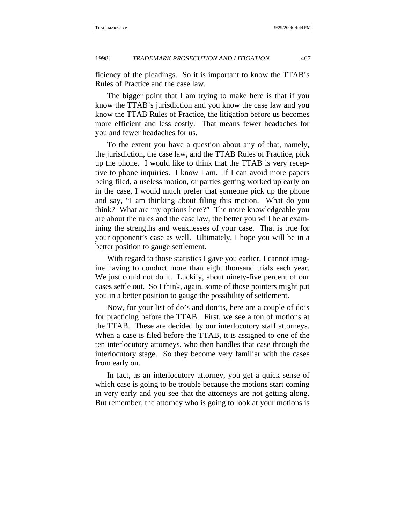ficiency of the pleadings. So it is important to know the TTAB's Rules of Practice and the case law.

The bigger point that I am trying to make here is that if you know the TTAB's jurisdiction and you know the case law and you know the TTAB Rules of Practice, the litigation before us becomes more efficient and less costly. That means fewer headaches for you and fewer headaches for us.

To the extent you have a question about any of that, namely, the jurisdiction, the case law, and the TTAB Rules of Practice, pick up the phone. I would like to think that the TTAB is very receptive to phone inquiries. I know I am. If I can avoid more papers being filed, a useless motion, or parties getting worked up early on in the case, I would much prefer that someone pick up the phone and say, "I am thinking about filing this motion. What do you think? What are my options here?" The more knowledgeable you are about the rules and the case law, the better you will be at examining the strengths and weaknesses of your case. That is true for your opponent's case as well. Ultimately, I hope you will be in a better position to gauge settlement.

With regard to those statistics I gave you earlier, I cannot imagine having to conduct more than eight thousand trials each year. We just could not do it. Luckily, about ninety-five percent of our cases settle out. So I think, again, some of those pointers might put you in a better position to gauge the possibility of settlement.

Now, for your list of do's and don'ts, here are a couple of do's for practicing before the TTAB. First, we see a ton of motions at the TTAB. These are decided by our interlocutory staff attorneys. When a case is filed before the TTAB, it is assigned to one of the ten interlocutory attorneys, who then handles that case through the interlocutory stage. So they become very familiar with the cases from early on.

In fact, as an interlocutory attorney, you get a quick sense of which case is going to be trouble because the motions start coming in very early and you see that the attorneys are not getting along. But remember, the attorney who is going to look at your motions is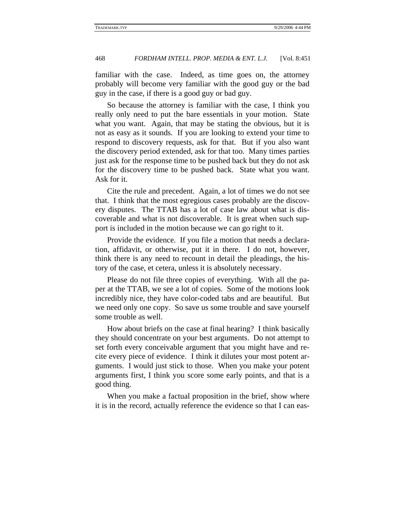familiar with the case. Indeed, as time goes on, the attorney probably will become very familiar with the good guy or the bad guy in the case, if there is a good guy or bad guy.

So because the attorney is familiar with the case, I think you really only need to put the bare essentials in your motion. State what you want. Again, that may be stating the obvious, but it is not as easy as it sounds. If you are looking to extend your time to respond to discovery requests, ask for that. But if you also want the discovery period extended, ask for that too. Many times parties just ask for the response time to be pushed back but they do not ask for the discovery time to be pushed back. State what you want. Ask for it.

Cite the rule and precedent. Again, a lot of times we do not see that. I think that the most egregious cases probably are the discovery disputes. The TTAB has a lot of case law about what is discoverable and what is not discoverable. It is great when such support is included in the motion because we can go right to it.

Provide the evidence. If you file a motion that needs a declaration, affidavit, or otherwise, put it in there. I do not, however, think there is any need to recount in detail the pleadings, the history of the case, et cetera, unless it is absolutely necessary.

Please do not file three copies of everything. With all the paper at the TTAB, we see a lot of copies. Some of the motions look incredibly nice, they have color-coded tabs and are beautiful. But we need only one copy. So save us some trouble and save yourself some trouble as well.

How about briefs on the case at final hearing? I think basically they should concentrate on your best arguments. Do not attempt to set forth every conceivable argument that you might have and recite every piece of evidence. I think it dilutes your most potent arguments. I would just stick to those. When you make your potent arguments first, I think you score some early points, and that is a good thing.

When you make a factual proposition in the brief, show where it is in the record, actually reference the evidence so that I can eas-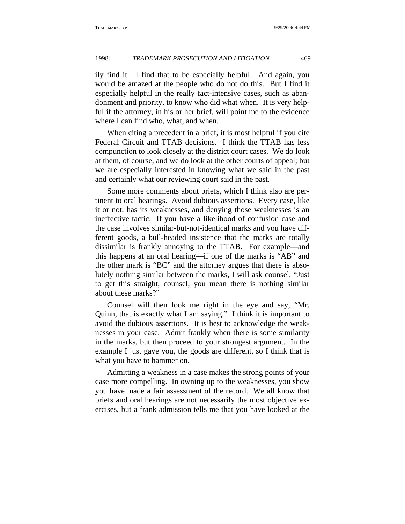ily find it. I find that to be especially helpful. And again, you would be amazed at the people who do not do this. But I find it especially helpful in the really fact-intensive cases, such as abandonment and priority, to know who did what when. It is very helpful if the attorney, in his or her brief, will point me to the evidence where I can find who, what, and when.

When citing a precedent in a brief, it is most helpful if you cite Federal Circuit and TTAB decisions. I think the TTAB has less compunction to look closely at the district court cases. We do look at them, of course, and we do look at the other courts of appeal; but we are especially interested in knowing what we said in the past and certainly what our reviewing court said in the past.

Some more comments about briefs, which I think also are pertinent to oral hearings. Avoid dubious assertions. Every case, like it or not, has its weaknesses, and denying those weaknesses is an ineffective tactic. If you have a likelihood of confusion case and the case involves similar-but-not-identical marks and you have different goods, a bull-headed insistence that the marks are totally dissimilar is frankly annoying to the TTAB. For example—and this happens at an oral hearing—if one of the marks is "AB" and the other mark is "BC" and the attorney argues that there is absolutely nothing similar between the marks, I will ask counsel, "Just to get this straight, counsel, you mean there is nothing similar about these marks?"

Counsel will then look me right in the eye and say, "Mr. Quinn, that is exactly what I am saying." I think it is important to avoid the dubious assertions. It is best to acknowledge the weaknesses in your case. Admit frankly when there is some similarity in the marks, but then proceed to your strongest argument. In the example I just gave you, the goods are different, so I think that is what you have to hammer on.

Admitting a weakness in a case makes the strong points of your case more compelling. In owning up to the weaknesses, you show you have made a fair assessment of the record. We all know that briefs and oral hearings are not necessarily the most objective exercises, but a frank admission tells me that you have looked at the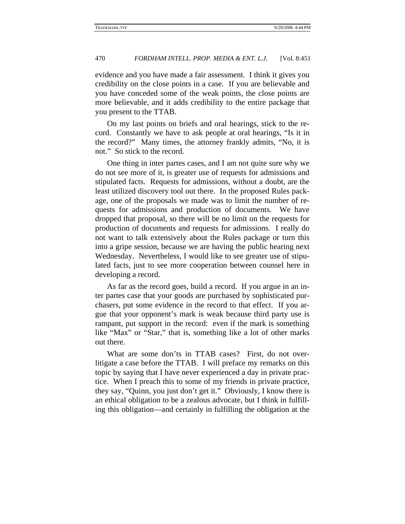evidence and you have made a fair assessment. I think it gives you credibility on the close points in a case. If you are believable and you have conceded some of the weak points, the close points are more believable, and it adds credibility to the entire package that you present to the TTAB.

On my last points on briefs and oral hearings, stick to the record. Constantly we have to ask people at oral hearings, "Is it in the record?" Many times, the attorney frankly admits, "No, it is not." So stick to the record.

One thing in inter partes cases, and I am not quite sure why we do not see more of it, is greater use of requests for admissions and stipulated facts. Requests for admissions, without a doubt, are the least utilized discovery tool out there. In the proposed Rules package, one of the proposals we made was to limit the number of requests for admissions and production of documents. We have dropped that proposal, so there will be no limit on the requests for production of documents and requests for admissions. I really do not want to talk extensively about the Rules package or turn this into a gripe session, because we are having the public hearing next Wednesday. Nevertheless, I would like to see greater use of stipulated facts, just to see more cooperation between counsel here in developing a record.

As far as the record goes, build a record. If you argue in an inter partes case that your goods are purchased by sophisticated purchasers, put some evidence in the record to that effect. If you argue that your opponent's mark is weak because third party use is rampant, put support in the record: even if the mark is something like "Max" or "Star," that is, something like a lot of other marks out there.

What are some don'ts in TTAB cases? First, do not overlitigate a case before the TTAB. I will preface my remarks on this topic by saying that I have never experienced a day in private practice. When I preach this to some of my friends in private practice, they say, "Quinn, you just don't get it." Obviously, I know there is an ethical obligation to be a zealous advocate, but I think in fulfilling this obligation—and certainly in fulfilling the obligation at the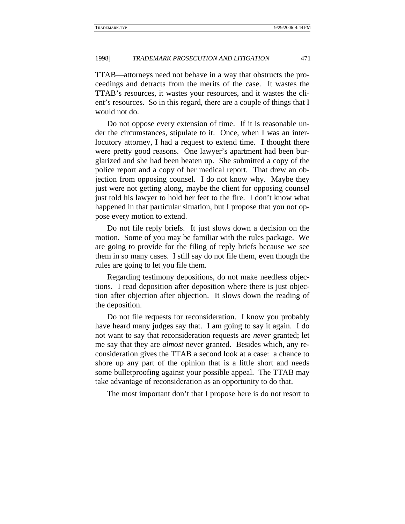TTAB—attorneys need not behave in a way that obstructs the proceedings and detracts from the merits of the case. It wastes the TTAB's resources, it wastes your resources, and it wastes the client's resources. So in this regard, there are a couple of things that I would not do.

Do not oppose every extension of time. If it is reasonable under the circumstances, stipulate to it. Once, when I was an interlocutory attorney, I had a request to extend time. I thought there were pretty good reasons. One lawyer's apartment had been burglarized and she had been beaten up. She submitted a copy of the police report and a copy of her medical report. That drew an objection from opposing counsel. I do not know why. Maybe they just were not getting along, maybe the client for opposing counsel just told his lawyer to hold her feet to the fire. I don't know what happened in that particular situation, but I propose that you not oppose every motion to extend.

Do not file reply briefs. It just slows down a decision on the motion. Some of you may be familiar with the rules package. We are going to provide for the filing of reply briefs because we see them in so many cases. I still say do not file them, even though the rules are going to let you file them.

Regarding testimony depositions, do not make needless objections. I read deposition after deposition where there is just objection after objection after objection. It slows down the reading of the deposition.

Do not file requests for reconsideration. I know you probably have heard many judges say that. I am going to say it again. I do not want to say that reconsideration requests are *never* granted; let me say that they are *almost* never granted. Besides which, any reconsideration gives the TTAB a second look at a case: a chance to shore up any part of the opinion that is a little short and needs some bulletproofing against your possible appeal. The TTAB may take advantage of reconsideration as an opportunity to do that.

The most important don't that I propose here is do not resort to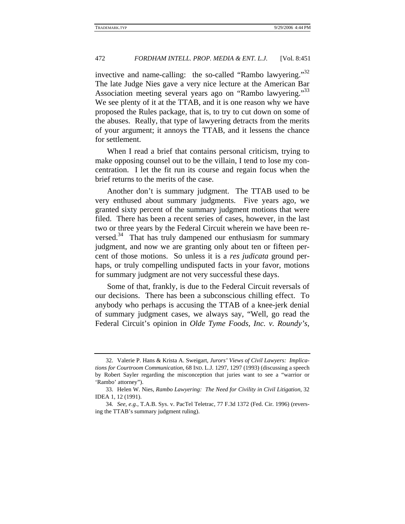invective and name-calling: the so-called "Rambo lawyering."<sup>32</sup> The late Judge Nies gave a very nice lecture at the American Bar Association meeting several years ago on "Rambo lawyering."<sup>33</sup> We see plenty of it at the TTAB, and it is one reason why we have proposed the Rules package, that is, to try to cut down on some of the abuses. Really, that type of lawyering detracts from the merits of your argument; it annoys the TTAB, and it lessens the chance for settlement.

When I read a brief that contains personal criticism, trying to make opposing counsel out to be the villain, I tend to lose my concentration. I let the fit run its course and regain focus when the brief returns to the merits of the case.

Another don't is summary judgment. The TTAB used to be very enthused about summary judgments. Five years ago, we granted sixty percent of the summary judgment motions that were filed. There has been a recent series of cases, however, in the last two or three years by the Federal Circuit wherein we have been reversed. $34$  That has truly dampened our enthusiasm for summary judgment, and now we are granting only about ten or fifteen percent of those motions. So unless it is a *res judicata* ground perhaps, or truly compelling undisputed facts in your favor, motions for summary judgment are not very successful these days.

Some of that, frankly, is due to the Federal Circuit reversals of our decisions. There has been a subconscious chilling effect. To anybody who perhaps is accusing the TTAB of a knee-jerk denial of summary judgment cases, we always say, "Well, go read the Federal Circuit's opinion in *Olde Tyme Foods, Inc. v. Roundy's,* 

<sup>32.</sup> Valerie P. Hans & Krista A. Sweigart, *Jurors' Views of Civil Lawyers: Implications for Courtroom Communication*, 68 IND. L.J. 1297, 1297 (1993) (discussing a speech by Robert Sayler regarding the misconception that juries want to see a "warrior or 'Rambo' attorney").

<sup>33.</sup> Helen W. Nies, *Rambo Lawyering: The Need for Civility in Civil Litigation*, 32 IDEA 1, 12 (1991).

<sup>34</sup>*. See, e.g.*, T.A.B. Sys. v. PacTel Teletrac, 77 F.3d 1372 (Fed. Cir. 1996) (reversing the TTAB's summary judgment ruling).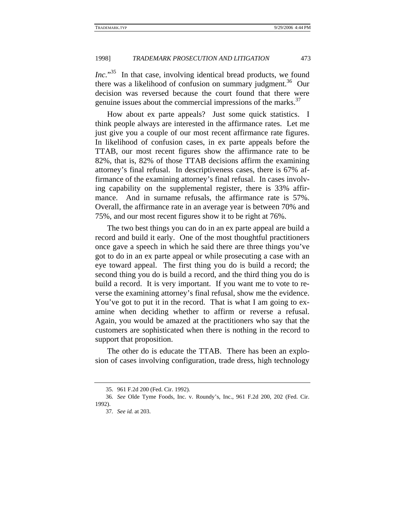*Inc.*" 35 In that case, involving identical bread products, we found there was a likelihood of confusion on summary judgment.<sup>36</sup> Our decision was reversed because the court found that there were genuine issues about the commercial impressions of the marks. $37$ 

How about ex parte appeals? Just some quick statistics. I think people always are interested in the affirmance rates. Let me just give you a couple of our most recent affirmance rate figures. In likelihood of confusion cases, in ex parte appeals before the TTAB, our most recent figures show the affirmance rate to be 82%, that is, 82% of those TTAB decisions affirm the examining attorney's final refusal. In descriptiveness cases, there is 67% affirmance of the examining attorney's final refusal. In cases involving capability on the supplemental register, there is 33% affirmance. And in surname refusals, the affirmance rate is 57%. Overall, the affirmance rate in an average year is between 70% and 75%, and our most recent figures show it to be right at 76%.

The two best things you can do in an ex parte appeal are build a record and build it early. One of the most thoughtful practitioners once gave a speech in which he said there are three things you've got to do in an ex parte appeal or while prosecuting a case with an eye toward appeal. The first thing you do is build a record; the second thing you do is build a record, and the third thing you do is build a record. It is very important. If you want me to vote to reverse the examining attorney's final refusal, show me the evidence. You've got to put it in the record. That is what I am going to examine when deciding whether to affirm or reverse a refusal. Again, you would be amazed at the practitioners who say that the customers are sophisticated when there is nothing in the record to support that proposition.

The other do is educate the TTAB. There has been an explosion of cases involving configuration, trade dress, high technology

<sup>35. 961</sup> F.2d 200 (Fed. Cir. 1992).

<sup>36</sup>*. See* Olde Tyme Foods, Inc. v. Roundy's, Inc., 961 F.2d 200, 202 (Fed. Cir. 1992).

<sup>37</sup>*. See id.* at 203.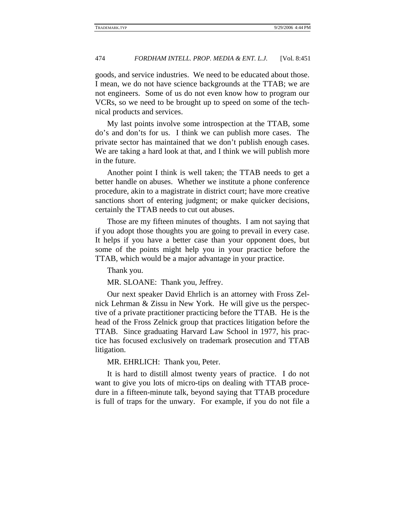goods, and service industries. We need to be educated about those. I mean, we do not have science backgrounds at the TTAB; we are not engineers. Some of us do not even know how to program our VCRs, so we need to be brought up to speed on some of the technical products and services.

My last points involve some introspection at the TTAB, some do's and don'ts for us. I think we can publish more cases. The private sector has maintained that we don't publish enough cases. We are taking a hard look at that, and I think we will publish more in the future.

Another point I think is well taken; the TTAB needs to get a better handle on abuses. Whether we institute a phone conference procedure, akin to a magistrate in district court; have more creative sanctions short of entering judgment; or make quicker decisions, certainly the TTAB needs to cut out abuses.

Those are my fifteen minutes of thoughts. I am not saying that if you adopt those thoughts you are going to prevail in every case. It helps if you have a better case than your opponent does, but some of the points might help you in your practice before the TTAB, which would be a major advantage in your practice.

Thank you.

MR. SLOANE: Thank you, Jeffrey.

Our next speaker David Ehrlich is an attorney with Fross Zelnick Lehrman & Zissu in New York. He will give us the perspective of a private practitioner practicing before the TTAB. He is the head of the Fross Zelnick group that practices litigation before the TTAB. Since graduating Harvard Law School in 1977, his practice has focused exclusively on trademark prosecution and TTAB litigation.

MR. EHRLICH: Thank you, Peter.

It is hard to distill almost twenty years of practice. I do not want to give you lots of micro-tips on dealing with TTAB procedure in a fifteen-minute talk, beyond saying that TTAB procedure is full of traps for the unwary. For example, if you do not file a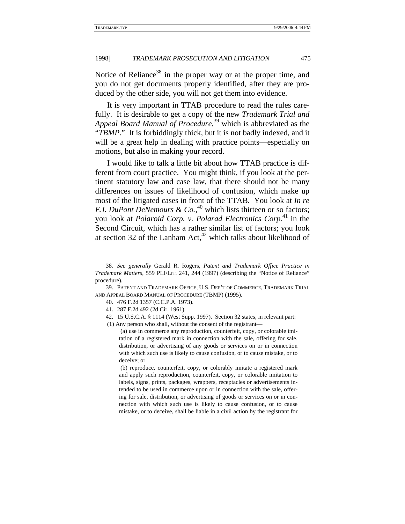Notice of Reliance<sup>38</sup> in the proper way or at the proper time, and you do not get documents properly identified, after they are produced by the other side, you will not get them into evidence.

It is very important in TTAB procedure to read the rules carefully. It is desirable to get a copy of the new *Trademark Trial and Appeal Board Manual of Procedure*, 39 which is abbreviated as the "*TBMP*." It is forbiddingly thick, but it is not badly indexed, and it will be a great help in dealing with practice points—especially on motions, but also in making your record.

I would like to talk a little bit about how TTAB practice is different from court practice. You might think, if you look at the pertinent statutory law and case law, that there should not be many differences on issues of likelihood of confusion, which make up most of the litigated cases in front of the TTAB. You look at *In re E.I. DuPont DeNemours & Co.*, 40 which lists thirteen or so factors; you look at *Polaroid Corp. v. Polarad Electronics Corp.*41 in the Second Circuit, which has a rather similar list of factors; you look at section 32 of the Lanham Act, $42$  which talks about likelihood of

- 40. 476 F.2d 1357 (C.C.P.A. 1973).
- 41. 287 F.2d 492 (2d Cir. 1961).
- 42. 15 U.S.C.A. § 1114 (West Supp. 1997). Section 32 states, in relevant part:

(1) Any person who shall, without the consent of the registrant—

 (b) reproduce, counterfeit, copy, or colorably imitate a registered mark and apply such reproduction, counterfeit, copy, or colorable imitation to labels, signs, prints, packages, wrappers, receptacles or advertisements intended to be used in commerce upon or in connection with the sale, offering for sale, distribution, or advertising of goods or services on or in connection with which such use is likely to cause confusion, or to cause mistake, or to deceive, shall be liable in a civil action by the registrant for

<sup>38</sup>*. See generally* Gerald R. Rogers, *Patent and Trademark Office Practice in Trademark Matters*, 559 PLI/LIT. 241, 244 (1997) (describing the "Notice of Reliance" procedure).

<sup>39.</sup> PATENT AND TRADEMARK OFFICE, U.S. DEP'T OF COMMERCE, TRADEMARK TRIAL AND APPEAL BOARD MANUAL OF PROCEDURE (TBMP) (1995).

 <sup>(</sup>a) use in commerce any reproduction, counterfeit, copy, or colorable imitation of a registered mark in connection with the sale, offering for sale, distribution, or advertising of any goods or services on or in connection with which such use is likely to cause confusion, or to cause mistake, or to deceive; or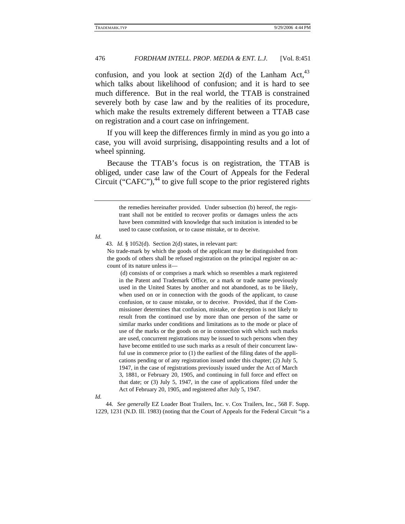confusion, and you look at section  $2(d)$  of the Lanham Act,<sup>43</sup> which talks about likelihood of confusion; and it is hard to see much difference. But in the real world, the TTAB is constrained severely both by case law and by the realities of its procedure, which make the results extremely different between a TTAB case on registration and a court case on infringement.

If you will keep the differences firmly in mind as you go into a case, you will avoid surprising, disappointing results and a lot of wheel spinning.

Because the TTAB's focus is on registration, the TTAB is obliged, under case law of the Court of Appeals for the Federal Circuit ("CAFC"), $44$  to give full scope to the prior registered rights

*Id.*

43*. Id.* § 1052(d). Section 2(d) states, in relevant part:

 (d) consists of or comprises a mark which so resembles a mark registered in the Patent and Trademark Office, or a mark or trade name previously used in the United States by another and not abandoned, as to be likely, when used on or in connection with the goods of the applicant, to cause confusion, or to cause mistake, or to deceive. Provided, that if the Commissioner determines that confusion, mistake, or deception is not likely to result from the continued use by more than one person of the same or similar marks under conditions and limitations as to the mode or place of use of the marks or the goods on or in connection with which such marks are used, concurrent registrations may be issued to such persons when they have become entitled to use such marks as a result of their concurrent lawful use in commerce prior to (1) the earliest of the filing dates of the applications pending or of any registration issued under this chapter; (2) July 5, 1947, in the case of registrations previously issued under the Act of March 3, 1881, or February 20, 1905, and continuing in full force and effect on that date; or (3) July 5, 1947, in the case of applications filed under the Act of February 20, 1905, and registered after July 5, 1947.

44*. See generally* EZ Loader Boat Trailers, Inc. v. Cox Trailers, Inc., 568 F. Supp. 1229, 1231 (N.D. Ill. 1983) (noting that the Court of Appeals for the Federal Circuit "is a

the remedies hereinafter provided. Under subsection (b) hereof, the registrant shall not be entitled to recover profits or damages unless the acts have been committed with knowledge that such imitation is intended to be used to cause confusion, or to cause mistake, or to deceive.

No trade-mark by which the goods of the applicant may be distinguished from the goods of others shall be refused registration on the principal register on account of its nature unless it—

*Id.*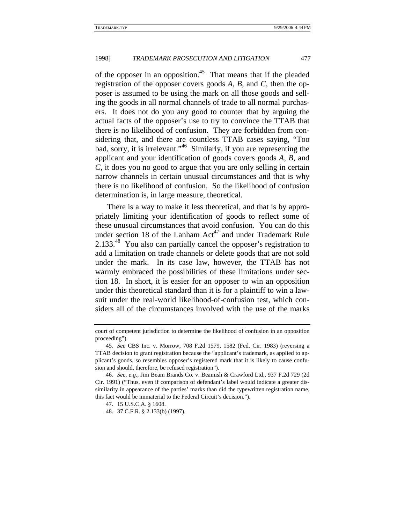of the opposer in an opposition.<sup>45</sup> That means that if the pleaded registration of the opposer covers goods *A*, *B*, and *C*, then the opposer is assumed to be using the mark on all those goods and selling the goods in all normal channels of trade to all normal purchasers. It does not do you any good to counter that by arguing the actual facts of the opposer's use to try to convince the TTAB that there is no likelihood of confusion. They are forbidden from considering that, and there are countless TTAB cases saying, "Too bad, sorry, it is irrelevant."<sup>46</sup> Similarly, if you are representing the applicant and your identification of goods covers goods *A*, *B*, and *C*, it does you no good to argue that you are only selling in certain narrow channels in certain unusual circumstances and that is why there is no likelihood of confusion. So the likelihood of confusion determination is, in large measure, theoretical.

There is a way to make it less theoretical, and that is by appropriately limiting your identification of goods to reflect some of these unusual circumstances that avoid confusion. You can do this under section 18 of the Lanham  $Act^{47}$  and under Trademark Rule 2.133<sup>48</sup> You also can partially cancel the opposer's registration to add a limitation on trade channels or delete goods that are not sold under the mark. In its case law, however, the TTAB has not warmly embraced the possibilities of these limitations under section 18. In short, it is easier for an opposer to win an opposition under this theoretical standard than it is for a plaintiff to win a lawsuit under the real-world likelihood-of-confusion test, which considers all of the circumstances involved with the use of the marks

court of competent jurisdiction to determine the likelihood of confusion in an opposition proceeding").

<sup>45</sup>*. See* CBS Inc. v. Morrow, 708 F.2d 1579, 1582 (Fed. Cir. 1983) (reversing a TTAB decision to grant registration because the "applicant's trademark, as applied to applicant's goods, so resembles opposer's registered mark that it is likely to cause confusion and should, therefore, be refused registration").

<sup>46</sup>*. See, e.g.*, Jim Beam Brands Co. v. Beamish & Crawford Ltd., 937 F.2d 729 (2d Cir. 1991) ("Thus, even if comparison of defendant's label would indicate a greater dissimilarity in appearance of the parties' marks than did the typewritten registration name, this fact would be immaterial to the Federal Circuit's decision.").

<sup>47. 15</sup> U.S.C.A. § 1608.

<sup>48. 37</sup> C.F.R. § 2.133(b) (1997).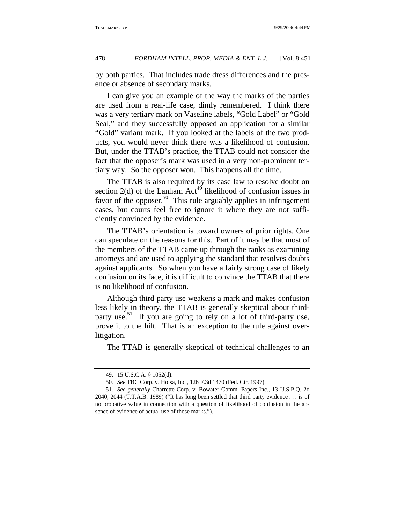by both parties. That includes trade dress differences and the presence or absence of secondary marks.

I can give you an example of the way the marks of the parties are used from a real-life case, dimly remembered. I think there was a very tertiary mark on Vaseline labels, "Gold Label" or "Gold Seal," and they successfully opposed an application for a similar "Gold" variant mark. If you looked at the labels of the two products, you would never think there was a likelihood of confusion. But, under the TTAB's practice, the TTAB could not consider the fact that the opposer's mark was used in a very non-prominent tertiary way. So the opposer won. This happens all the time.

The TTAB is also required by its case law to resolve doubt on section 2(d) of the Lanham Act<sup>49</sup> likelihood of confusion issues in favor of the opposer.<sup>50</sup> This rule arguably applies in infringement cases, but courts feel free to ignore it where they are not sufficiently convinced by the evidence.

The TTAB's orientation is toward owners of prior rights. One can speculate on the reasons for this. Part of it may be that most of the members of the TTAB came up through the ranks as examining attorneys and are used to applying the standard that resolves doubts against applicants. So when you have a fairly strong case of likely confusion on its face, it is difficult to convince the TTAB that there is no likelihood of confusion.

Although third party use weakens a mark and makes confusion less likely in theory, the TTAB is generally skeptical about thirdparty use.<sup>51</sup> If you are going to rely on a lot of third-party use, prove it to the hilt. That is an exception to the rule against overlitigation.

The TTAB is generally skeptical of technical challenges to an

<sup>49. 15</sup> U.S.C.A. § 1052(d).

<sup>50</sup>*. See* TBC Corp. v. Holsa, Inc., 126 F.3d 1470 (Fed. Cir. 1997).

<sup>51</sup>*. See generally* Charrette Corp. v. Bowater Comm. Papers Inc., 13 U.S.P.Q. 2d 2040, 2044 (T.T.A.B. 1989) ("It has long been settled that third party evidence . . . is of no probative value in connection with a question of likelihood of confusion in the absence of evidence of actual use of those marks.").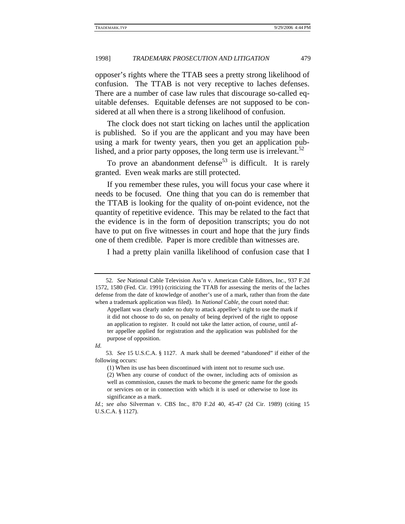opposer's rights where the TTAB sees a pretty strong likelihood of confusion. The TTAB is not very receptive to laches defenses. There are a number of case law rules that discourage so-called equitable defenses. Equitable defenses are not supposed to be considered at all when there is a strong likelihood of confusion.

The clock does not start ticking on laches until the application is published. So if you are the applicant and you may have been using a mark for twenty years, then you get an application published, and a prior party opposes, the long term use is irrelevant.<sup>52</sup>

To prove an abandonment defense<sup>53</sup> is difficult. It is rarely granted. Even weak marks are still protected.

If you remember these rules, you will focus your case where it needs to be focused. One thing that you can do is remember that the TTAB is looking for the quality of on-point evidence, not the quantity of repetitive evidence. This may be related to the fact that the evidence is in the form of deposition transcripts; you do not have to put on five witnesses in court and hope that the jury finds one of them credible. Paper is more credible than witnesses are.

I had a pretty plain vanilla likelihood of confusion case that I

<sup>52</sup>*. See* National Cable Television Ass'n v. American Cable Editors, Inc., 937 F.2d 1572, 1580 (Fed. Cir. 1991) (criticizing the TTAB for assessing the merits of the laches defense from the date of knowledge of another's use of a mark, rather than from the date when a trademark application was filed). In *National Cable*, the court noted that:

Appellant was clearly under no duty to attack appellee's right to use the mark if it did not choose to do so, on penalty of being deprived of the right to oppose an application to register. It could not take the latter action, of course, until after appellee applied for registration and the application was published for the purpose of opposition.

*Id.* 

<sup>53</sup>*. See* 15 U.S.C.A. § 1127. A mark shall be deemed "abandoned" if either of the following occurs:

<sup>(1)</sup> When its use has been discontinued with intent not to resume such use. (2) When any course of conduct of the owner, including acts of omission as well as commission, causes the mark to become the generic name for the goods or services on or in connection with which it is used or otherwise to lose its significance as a mark.

*Id.*; *see also* Silverman v. CBS Inc., 870 F.2d 40, 45-47 (2d Cir. 1989) (citing 15 U.S.C.A. § 1127).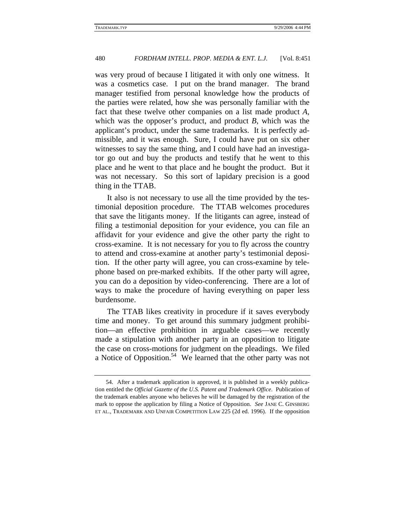was very proud of because I litigated it with only one witness. It was a cosmetics case. I put on the brand manager. The brand manager testified from personal knowledge how the products of the parties were related, how she was personally familiar with the fact that these twelve other companies on a list made product *A*, which was the opposer's product, and product *B*, which was the applicant's product, under the same trademarks. It is perfectly admissible, and it was enough. Sure, I could have put on six other witnesses to say the same thing, and I could have had an investigator go out and buy the products and testify that he went to this place and he went to that place and he bought the product. But it was not necessary. So this sort of lapidary precision is a good thing in the TTAB.

It also is not necessary to use all the time provided by the testimonial deposition procedure. The TTAB welcomes procedures that save the litigants money. If the litigants can agree, instead of filing a testimonial deposition for your evidence, you can file an affidavit for your evidence and give the other party the right to cross-examine. It is not necessary for you to fly across the country to attend and cross-examine at another party's testimonial deposition. If the other party will agree, you can cross-examine by telephone based on pre-marked exhibits. If the other party will agree, you can do a deposition by video-conferencing. There are a lot of ways to make the procedure of having everything on paper less burdensome.

The TTAB likes creativity in procedure if it saves everybody time and money. To get around this summary judgment prohibition—an effective prohibition in arguable cases—we recently made a stipulation with another party in an opposition to litigate the case on cross-motions for judgment on the pleadings. We filed a Notice of Opposition.<sup>54</sup> We learned that the other party was not

<sup>54.</sup> After a trademark application is approved, it is published in a weekly publication entitled the *Official Gazette of the U.S. Patent and Trademark Office*. Publication of the trademark enables anyone who believes he will be damaged by the registration of the mark to oppose the application by filing a Notice of Opposition. *See* JANE C. GINSBERG ET AL., TRADEMARK AND UNFAIR COMPETITION LAW 225 (2d ed. 1996). If the opposition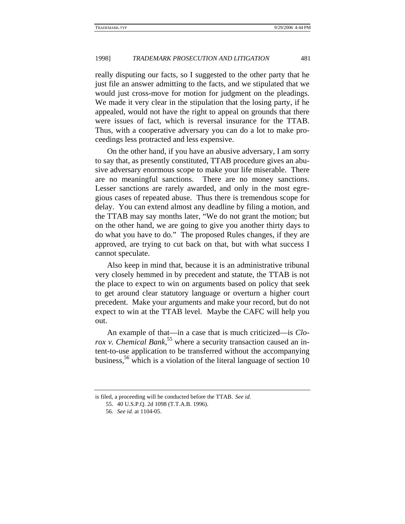really disputing our facts, so I suggested to the other party that he just file an answer admitting to the facts, and we stipulated that we would just cross-move for motion for judgment on the pleadings. We made it very clear in the stipulation that the losing party, if he appealed, would not have the right to appeal on grounds that there were issues of fact, which is reversal insurance for the TTAB. Thus, with a cooperative adversary you can do a lot to make proceedings less protracted and less expensive.

On the other hand, if you have an abusive adversary, I am sorry to say that, as presently constituted, TTAB procedure gives an abusive adversary enormous scope to make your life miserable. There are no meaningful sanctions. There are no money sanctions. Lesser sanctions are rarely awarded, and only in the most egregious cases of repeated abuse. Thus there is tremendous scope for delay. You can extend almost any deadline by filing a motion, and the TTAB may say months later, "We do not grant the motion; but on the other hand, we are going to give you another thirty days to do what you have to do." The proposed Rules changes, if they are approved, are trying to cut back on that, but with what success I cannot speculate.

Also keep in mind that, because it is an administrative tribunal very closely hemmed in by precedent and statute, the TTAB is not the place to expect to win on arguments based on policy that seek to get around clear statutory language or overturn a higher court precedent. Make your arguments and make your record, but do not expect to win at the TTAB level. Maybe the CAFC will help you out.

An example of that—in a case that is much criticized—is *Clorox v. Chemical Bank*<sup>55</sup> where a security transaction caused an intent-to-use application to be transferred without the accompanying business,<sup>56</sup> which is a violation of the literal language of section 10

is filed, a proceeding will be conducted before the TTAB. *See id.*

<sup>55. 40</sup> U.S.P.Q. 2d 1098 (T.T.A.B. 1996).

<sup>56</sup>*. See id.* at 1104-05.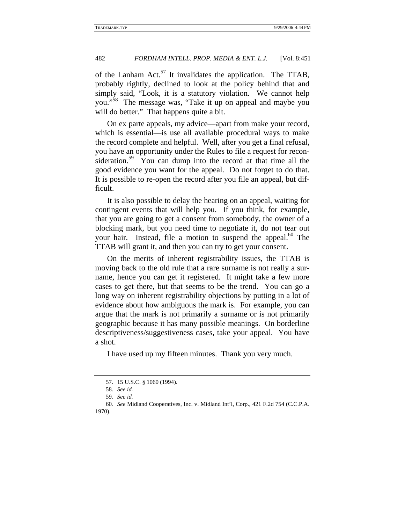of the Lanham Act.<sup>57</sup> It invalidates the application. The TTAB, probably rightly, declined to look at the policy behind that and simply said, "Look, it is a statutory violation. We cannot help you."58 The message was, "Take it up on appeal and maybe you will do better." That happens quite a bit.

On ex parte appeals, my advice—apart from make your record, which is essential—is use all available procedural ways to make the record complete and helpful. Well, after you get a final refusal, you have an opportunity under the Rules to file a request for reconsideration.<sup>59</sup> You can dump into the record at that time all the good evidence you want for the appeal. Do not forget to do that. It is possible to re-open the record after you file an appeal, but difficult.

It is also possible to delay the hearing on an appeal, waiting for contingent events that will help you. If you think, for example, that you are going to get a consent from somebody, the owner of a blocking mark, but you need time to negotiate it, do not tear out your hair. Instead, file a motion to suspend the appeal.<sup>60</sup> The TTAB will grant it, and then you can try to get your consent.

On the merits of inherent registrability issues, the TTAB is moving back to the old rule that a rare surname is not really a surname, hence you can get it registered. It might take a few more cases to get there, but that seems to be the trend. You can go a long way on inherent registrability objections by putting in a lot of evidence about how ambiguous the mark is. For example, you can argue that the mark is not primarily a surname or is not primarily geographic because it has many possible meanings. On borderline descriptiveness/suggestiveness cases, take your appeal. You have a shot.

I have used up my fifteen minutes. Thank you very much.

<sup>57. 15</sup> U.S.C. § 1060 (1994).

<sup>58</sup>*. See id.*

<sup>59</sup>*. See id.*

<sup>60</sup>*. See* Midland Cooperatives, Inc. v. Midland Int'l, Corp., 421 F.2d 754 (C.C.P.A. 1970).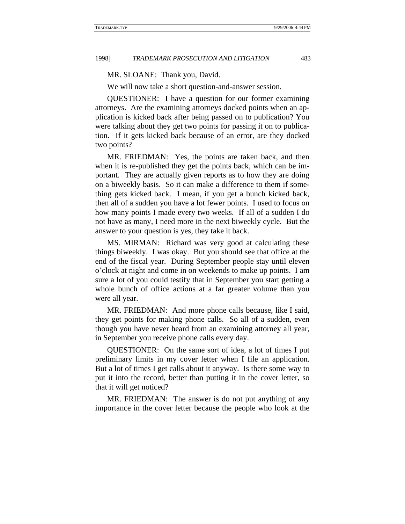MR. SLOANE: Thank you, David.

We will now take a short question-and-answer session.

QUESTIONER: I have a question for our former examining attorneys. Are the examining attorneys docked points when an application is kicked back after being passed on to publication? You were talking about they get two points for passing it on to publication. If it gets kicked back because of an error, are they docked two points?

MR. FRIEDMAN: Yes, the points are taken back, and then when it is re-published they get the points back, which can be important. They are actually given reports as to how they are doing on a biweekly basis. So it can make a difference to them if something gets kicked back. I mean, if you get a bunch kicked back, then all of a sudden you have a lot fewer points. I used to focus on how many points I made every two weeks. If all of a sudden I do not have as many, I need more in the next biweekly cycle. But the answer to your question is yes, they take it back.

MS. MIRMAN: Richard was very good at calculating these things biweekly. I was okay. But you should see that office at the end of the fiscal year. During September people stay until eleven o'clock at night and come in on weekends to make up points. I am sure a lot of you could testify that in September you start getting a whole bunch of office actions at a far greater volume than you were all year.

MR. FRIEDMAN: And more phone calls because, like I said, they get points for making phone calls. So all of a sudden, even though you have never heard from an examining attorney all year, in September you receive phone calls every day.

QUESTIONER: On the same sort of idea, a lot of times I put preliminary limits in my cover letter when I file an application. But a lot of times I get calls about it anyway. Is there some way to put it into the record, better than putting it in the cover letter, so that it will get noticed?

MR. FRIEDMAN: The answer is do not put anything of any importance in the cover letter because the people who look at the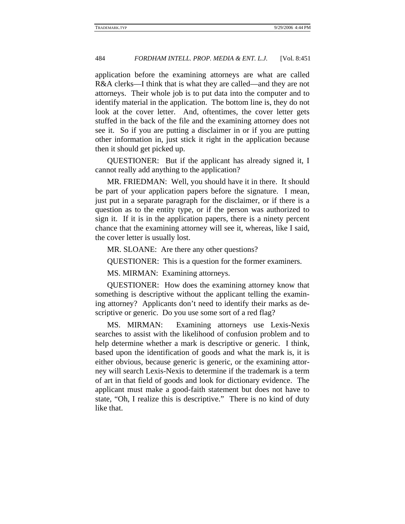application before the examining attorneys are what are called R&A clerks—I think that is what they are called—and they are not attorneys. Their whole job is to put data into the computer and to identify material in the application. The bottom line is, they do not look at the cover letter. And, oftentimes, the cover letter gets stuffed in the back of the file and the examining attorney does not see it. So if you are putting a disclaimer in or if you are putting other information in, just stick it right in the application because then it should get picked up.

QUESTIONER: But if the applicant has already signed it, I cannot really add anything to the application?

MR. FRIEDMAN: Well, you should have it in there. It should be part of your application papers before the signature. I mean, just put in a separate paragraph for the disclaimer, or if there is a question as to the entity type, or if the person was authorized to sign it. If it is in the application papers, there is a ninety percent chance that the examining attorney will see it, whereas, like I said, the cover letter is usually lost.

MR. SLOANE: Are there any other questions?

QUESTIONER: This is a question for the former examiners.

MS. MIRMAN: Examining attorneys.

QUESTIONER: How does the examining attorney know that something is descriptive without the applicant telling the examining attorney? Applicants don't need to identify their marks as descriptive or generic. Do you use some sort of a red flag?

MS. MIRMAN: Examining attorneys use Lexis-Nexis searches to assist with the likelihood of confusion problem and to help determine whether a mark is descriptive or generic. I think, based upon the identification of goods and what the mark is, it is either obvious, because generic is generic, or the examining attorney will search Lexis-Nexis to determine if the trademark is a term of art in that field of goods and look for dictionary evidence. The applicant must make a good-faith statement but does not have to state, "Oh, I realize this is descriptive." There is no kind of duty like that.